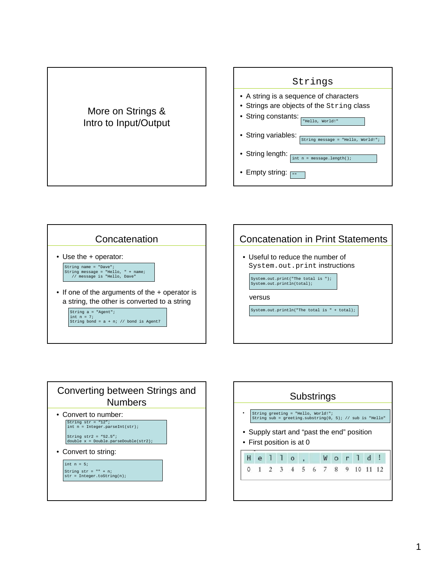## More on Strings & Intro to Input/Output









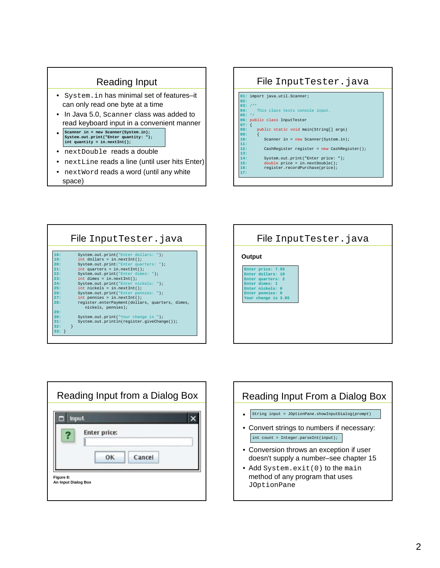## Reading Input

- System.in has minimal set of features–it can only read one byte at a time
- In Java 5.0, Scanner class was added to read keyboard input in a convenient manner
- **Scanner in = new Scanner(System.in); System.out.print("Enter quantity: "); int quantity = in.nextInt();**
- nextDouble reads a double
- nextLine reads a line (until user hits Enter)
- nextWord reads a word (until any white space)

# File InputTester.java



|         | File InputTester. java                                                |
|---------|-----------------------------------------------------------------------|
|         |                                                                       |
| 18:     | System.out.print("Enter dollars: ");                                  |
| 19:     | $int$ dollars = $in.nextInt()$ ;                                      |
| 20:     | System.out.print("Enter quarters: ");                                 |
| 21:     | $int$ quarters = in.nextInt();                                        |
| 22:     | System.out.print("Enter dimes: ");                                    |
| 23:     | $int \dimes = in.nextInt()$                                           |
| 24:     | System.out.print("Enter nickels: ");                                  |
| 25:     | $int$ nickels = $in.nextInt()$ ;                                      |
| 26:     | System.out.print("Enter pennies: ");                                  |
| 27:     | $int$ pennies = in.nextInt();                                         |
| 28:     | register.enterPayment(dollars, quarters, dimes,<br>nickels, pennies); |
| 29:     |                                                                       |
| 30:     | System.out.print("Your change is ");                                  |
| 31:     | System.out.println(reqister.qiveChange());                            |
| 32:     |                                                                       |
| $33:$ } |                                                                       |





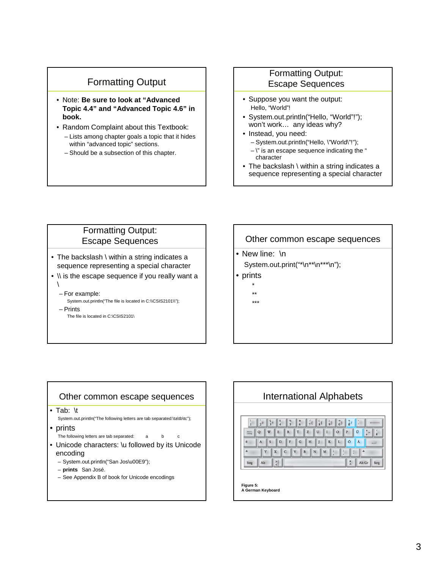## Formatting Output

- Note: **Be sure to look at "Advanced Topic 4.4" and "Advanced Topic 4.6" in book.**
- Random Complaint about this Textbook: – Lists among chapter goals a topic that it hides within "advanced topic" sections.
	- Should be a subsection of this chapter.

#### Formatting Output: Escape Sequences

- Suppose you want the output: Hello, "World"!
- System.out.println("Hello, "World"!"); won't work… any ideas why?
- Instead, you need:
	- System.out.println("Hello, \"World\"!");
	- $-\vee$ " is an escape sequence indicating the " character
- The backslash \ within a string indicates a sequence representing a special character

#### Formatting Output: Escape Sequences

- The backslash \ within a string indicates a sequence representing a special character
- \\ is the escape sequence if you really want a  $\sqrt{2}$ 
	- For example:
	- System.out.println("The file is located in C:\\CSIS2101\\");
	- Prints
		- The file is located in C:\CSIS2101\

#### Other common escape sequences

• New line: \n System.out.print("\*\n\*\*\n\*\*\*\n");

- prints
	- \* \*\*
	- \*\*\*

#### Other common escape sequences

• Tab: \t

System.out.println("The following letters are tab separated:\ta\tb\tc");

- prints
- The following letters are tab separated: a b c
- Unicode characters: \u followed by its Unicode encoding
	- System.out.println("San Jos\u00E9");
	- **prints** San José.
	- See Appendix B of book for Unicode encodings